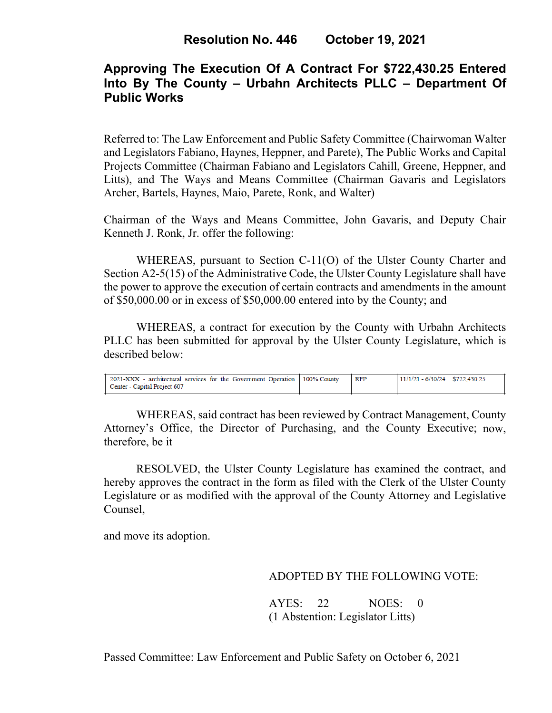# **Approving The Execution Of A Contract For \$722,430.25 Entered Into By The County – Urbahn Architects PLLC – Department Of Public Works**

Referred to: The Law Enforcement and Public Safety Committee (Chairwoman Walter and Legislators Fabiano, Haynes, Heppner, and Parete), The Public Works and Capital Projects Committee (Chairman Fabiano and Legislators Cahill, Greene, Heppner, and Litts), and The Ways and Means Committee (Chairman Gavaris and Legislators Archer, Bartels, Haynes, Maio, Parete, Ronk, and Walter)

Chairman of the Ways and Means Committee, John Gavaris, and Deputy Chair Kenneth J. Ronk, Jr. offer the following:

WHEREAS, pursuant to Section C-11(O) of the Ulster County Charter and Section A2-5(15) of the Administrative Code, the Ulster County Legislature shall have the power to approve the execution of certain contracts and amendments in the amount of \$50,000.00 or in excess of \$50,000.00 entered into by the County; and

WHEREAS, a contract for execution by the County with Urbahn Architects PLLC has been submitted for approval by the Ulster County Legislature, which is described below:

| $11/1/21 - 6/30/24$ \$722,430.25<br>2021-XXX - architectural services for the Government Operation 100% County<br>RFP<br>Center - Capital Project 607 |  |  |  |
|-------------------------------------------------------------------------------------------------------------------------------------------------------|--|--|--|
|                                                                                                                                                       |  |  |  |

WHEREAS, said contract has been reviewed by Contract Management, County Attorney's Office, the Director of Purchasing, and the County Executive; now, therefore, be it

RESOLVED, the Ulster County Legislature has examined the contract, and hereby approves the contract in the form as filed with the Clerk of the Ulster County Legislature or as modified with the approval of the County Attorney and Legislative Counsel,

and move its adoption.

### ADOPTED BY THE FOLLOWING VOTE:

AYES: 22 NOES: 0 (1 Abstention: Legislator Litts)